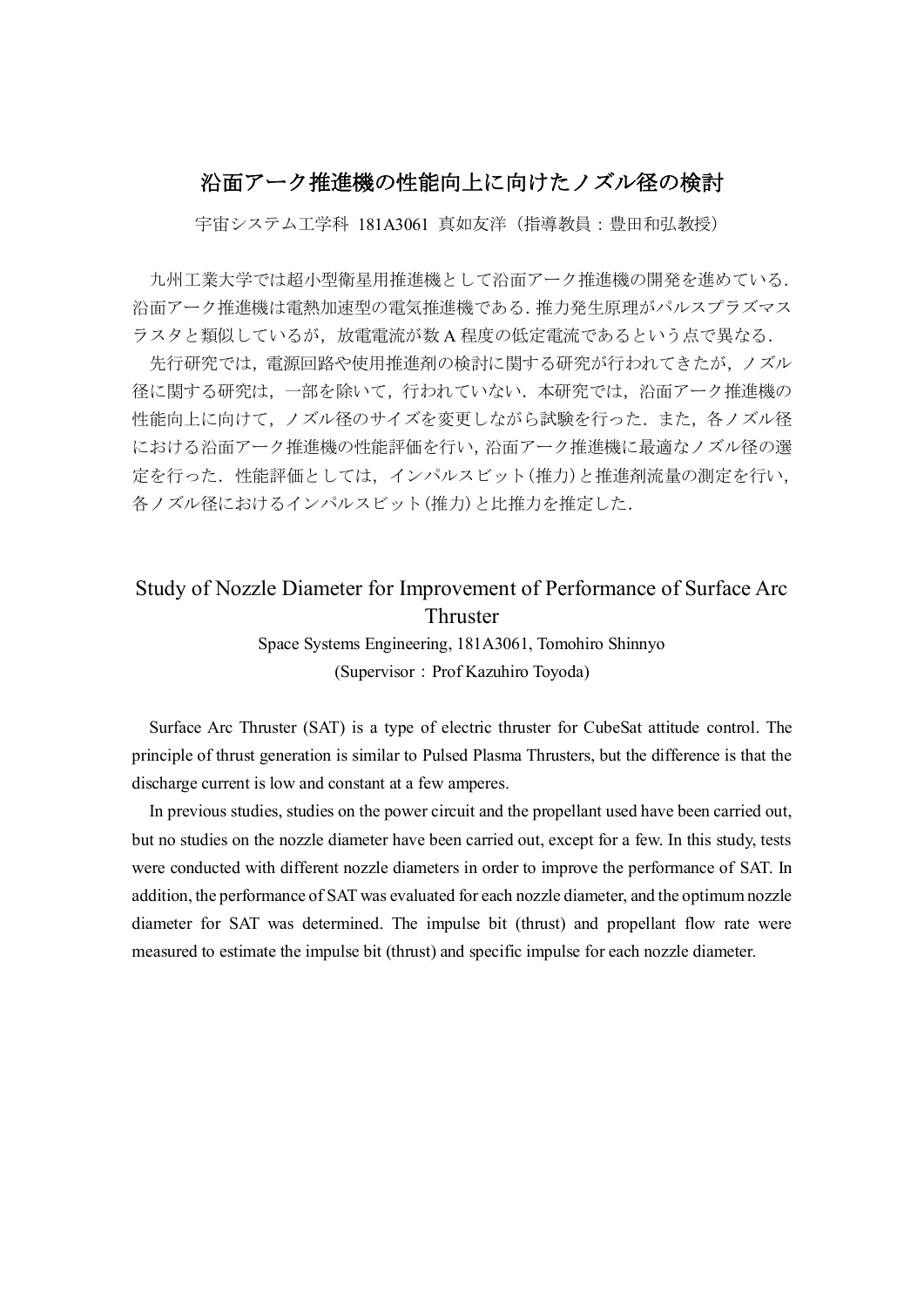## 沿面アーク推進機の性能向上に向けたノズル径の検討

宇宙システム工学科 181A3061 真如友洋(指導教員:豊田和弘教授)

九州工業大学では超小型衛星用推進機として沿面アーク推進機の開発を進めている. 沿面アーク推進機は電熱加速型の電気推進機である.推力発生原理がパルスプラズマス ラスタと類似しているが,放電電流が数 A 程度の低定電流であるという点で異なる.

先行研究では、電源回路や使用推進剤の検討に関する研究が行われてきたが、ノズル 径に関する研究は,一部を除いて,行われていない.本研究では,沿面アーク推進機の 性能向上に向けて、ノズル径のサイズを変更しながら試験を行った.また、各ノズル径 における沿面アーク推進機の性能評価を行い,沿面アーク推進機に最適なノズル径の選 定を行った.性能評価としては,インパルスビット(推力)と推進剤流量の測定を行い, 各ノズル径におけるインパルスビット(推力)と比推力を推定した.

## Study of Nozzle Diameter for Improvement of Performance of Surface Arc Thruster

Space Systems Engineering, 181A3061, Tomohiro Shinnyo (Supervisor: Prof Kazuhiro Toyoda)

Surface Arc Thruster (SAT) is a type of electric thruster for CubeSat attitude control. The principle of thrust generation is similar to Pulsed Plasma Thrusters, but the difference is that the discharge current is low and constant at a few amperes.

In previous studies, studies on the power circuit and the propellant used have been carried out, but no studies on the nozzle diameter have been carried out, except for a few. In this study, tests were conducted with different nozzle diameters in order to improve the performance of SAT. In addition, the performance of SAT was evaluated for each nozzle diameter, and the optimum nozzle diameter for SAT was determined. The impulse bit (thrust) and propellant flow rate were measured to estimate the impulse bit (thrust) and specific impulse for each nozzle diameter.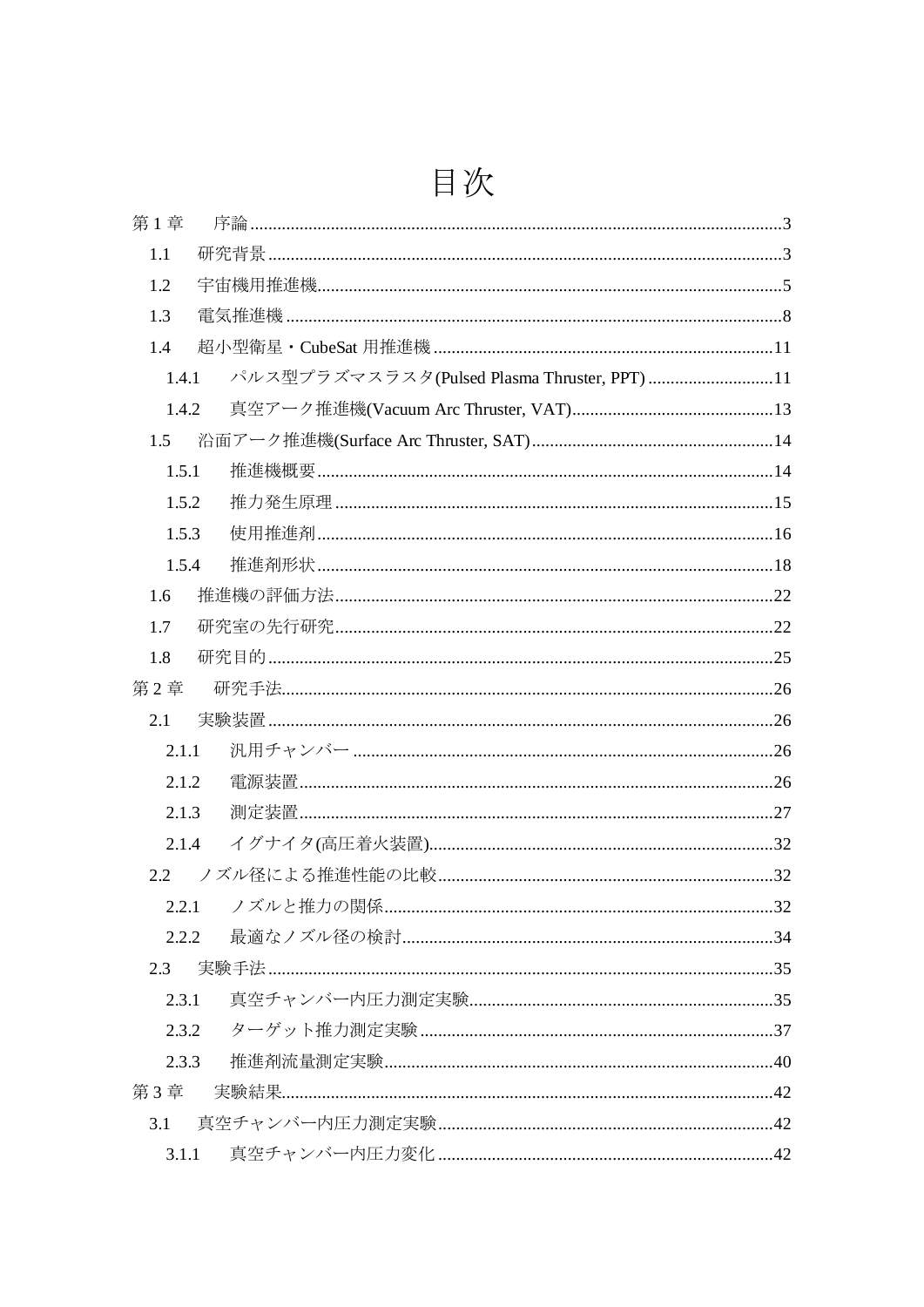## 目次

| 第1章           |                                             |  |
|---------------|---------------------------------------------|--|
| 1.1           |                                             |  |
| 1.2           |                                             |  |
| 1.3           |                                             |  |
| 1.4           |                                             |  |
| 1.4.1         | パルス型プラズマスラスタ(Pulsed Plasma Thruster, PPT)11 |  |
| 1.4.2         |                                             |  |
| 1.5           |                                             |  |
| 1.5.1         |                                             |  |
| 1.5.2         |                                             |  |
| 1.5.3         |                                             |  |
| 1.5.4         | 推進剤形状………………………………………………………………………………………18    |  |
| 1.6           |                                             |  |
| 1.7           |                                             |  |
| 1.8           |                                             |  |
| 第2章           |                                             |  |
| 2.1           |                                             |  |
| 2.1.1         |                                             |  |
| 2.1.2         |                                             |  |
| 2.1.3         |                                             |  |
| 2.1.4         |                                             |  |
| $2.2^{\circ}$ |                                             |  |
|               |                                             |  |
| 2.2.2         |                                             |  |
| 2.3           |                                             |  |
| 2.3.1         |                                             |  |
| 2.3.2         |                                             |  |
| 2.3.3         |                                             |  |
| 第3章           |                                             |  |
| 3.1           |                                             |  |
| 3.1.1         |                                             |  |